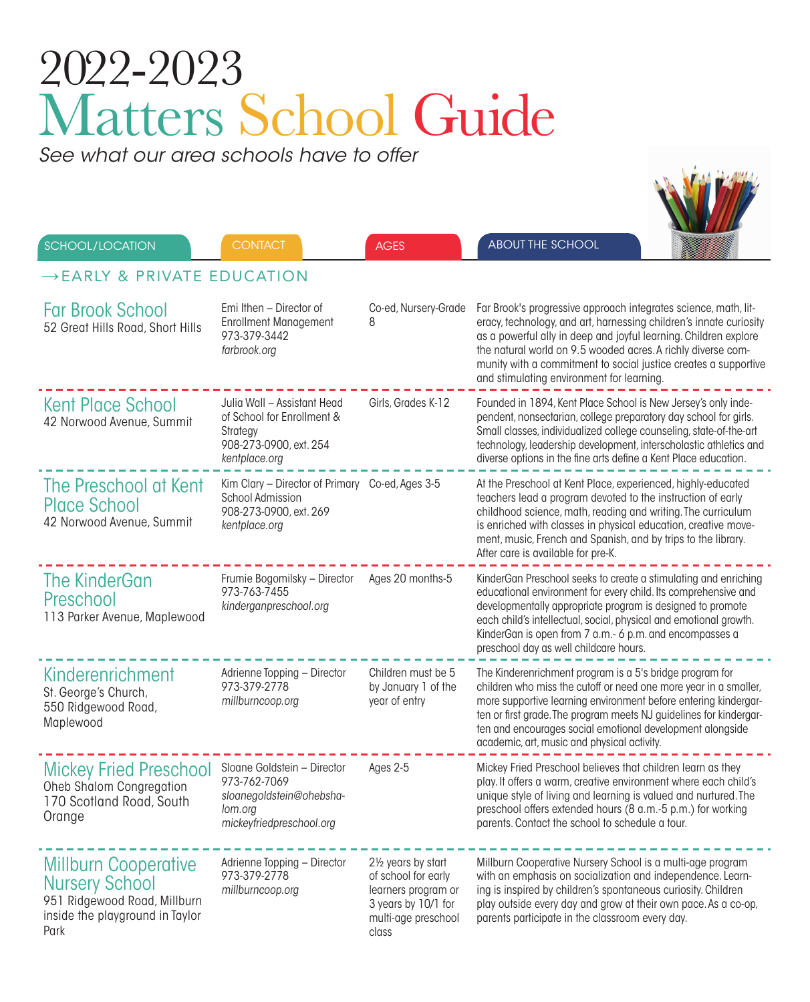## 2022-2023 Matters School Guide

*See what our area schools have to offer*

|                                         | SCHOOL/LOCATION                                                                                                                 | <b>CONTACT</b>                                                                                                        | <b>AGES</b>                                                                                                              | <b>ABOUT THE SCHOOL</b>                                                                                                                                                                                                                                                                                                                                                                   |  |
|-----------------------------------------|---------------------------------------------------------------------------------------------------------------------------------|-----------------------------------------------------------------------------------------------------------------------|--------------------------------------------------------------------------------------------------------------------------|-------------------------------------------------------------------------------------------------------------------------------------------------------------------------------------------------------------------------------------------------------------------------------------------------------------------------------------------------------------------------------------------|--|
| $\rightarrow$ EARLY & PRIVATE EDUCATION |                                                                                                                                 |                                                                                                                       |                                                                                                                          |                                                                                                                                                                                                                                                                                                                                                                                           |  |
|                                         | <b>Far Brook School</b><br>52 Great Hills Road, Short Hills                                                                     | Emi Ithen - Director of<br><b>Enrollment Management</b><br>973-379-3442<br>farbrook.org                               | Co-ed, Nursery-Grade<br>8                                                                                                | Far Brook's progressive approach integrates science, math, lit-<br>eracy, technology, and art, harnessing children's innate curiosity<br>as a powerful ally in deep and joyful learning. Children explore<br>the natural world on 9.5 wooded acres. A richly diverse com-<br>munity with a commitment to social justice creates a supportive<br>and stimulating environment for learning. |  |
|                                         | <b>Kent Place School</b><br>42 Norwood Avenue, Summit                                                                           | Julia Wall - Assistant Head<br>of School for Enrollment &<br>Strategy<br>908-273-0900, ext. 254<br>kentplace.org      | Girls, Grades K-12                                                                                                       | Founded in 1894, Kent Place School is New Jersey's only inde-<br>pendent, nonsectarian, college preparatory day school for girls.<br>Small classes, individualized college counseling, state-of-the-art<br>technology, leadership development, interscholastic athletics and<br>diverse options in the fine arts define a Kent Place education.                                           |  |
|                                         | The Preschool at Kent<br><b>Place School</b><br>42 Norwood Avenue, Summit                                                       | Kim Clary - Director of Primary Co-ed, Ages 3-5<br><b>School Admission</b><br>908-273-0900, ext. 269<br>kentplace.org |                                                                                                                          | At the Preschool at Kent Place, experienced, highly-educated<br>teachers lead a program devoted to the instruction of early<br>childhood science, math, reading and writing. The curriculum<br>is enriched with classes in physical education, creative move-<br>ment, music, French and Spanish, and by trips to the library.<br>After care is available for pre-K.                      |  |
|                                         | <b>The KinderGan</b><br>Preschool<br>113 Parker Avenue, Maplewood                                                               | Frumie Bogomilsky - Director<br>973-763-7455<br>kinderganpreschool.org                                                | Ages 20 months-5                                                                                                         | KinderGan Preschool seeks to create a stimulating and enriching<br>educational environment for every child. Its comprehensive and<br>developmentally appropriate program is designed to promote<br>each child's intellectual, social, physical and emotional growth.<br>KinderGan is open from 7 a.m.- 6 p.m. and encompasses a<br>preschool day as well childcare hours.                 |  |
|                                         | Kinderenrichment<br>St. George's Church,<br>550 Ridgewood Road,<br>Maplewood                                                    | Adrienne Topping - Director<br>973-379-2778<br>millburncoop.org                                                       | Children must be 5<br>by January 1 of the<br>year of entry                                                               | The Kinderenrichment program is a 5's bridge program for<br>children who miss the cutoff or need one more year in a smaller,<br>more supportive learning environment before entering kindergar-<br>ten or first grade. The program meets NJ guidelines for kindergar-<br>ten and encourages social emotional development alongside<br>academic, art, music and physical activity.         |  |
|                                         | <b>Mickey Fried Preschool</b><br><b>Oheb Shalom Congregation</b><br>170 Scotland Road, South<br>Orange                          | Sloane Goldstein - Director<br>973-762-7069<br>sloanegoldstein@ohebsha-<br>lom.org<br>mickeyfriedpreschool.org        | Ages 2-5                                                                                                                 | Mickey Fried Preschool believes that children learn as they<br>play. It offers a warm, creative environment where each child's<br>unique style of living and learning is valued and nurtured. The<br>preschool offers extended hours (8 a.m.-5 p.m.) for working<br>parents. Contact the school to schedule a tour.                                                                       |  |
|                                         | <b>Millburn Cooperative</b><br><b>Nursery School</b><br>951 Ridgewood Road, Millburn<br>inside the playground in Taylor<br>Park | Adrienne Topping - Director<br>973-379-2778<br>millburncoop.org                                                       | 21/2 years by start<br>of school for early<br>learners program or<br>3 years by 10/1 for<br>multi-age preschool<br>class | Millburn Cooperative Nursery School is a multi-age program<br>with an emphasis on socialization and independence. Learn-<br>ing is inspired by children's spontaneous curiosity. Children<br>play outside every day and grow at their own pace. As a co-op,<br>parents participate in the classroom every day.                                                                            |  |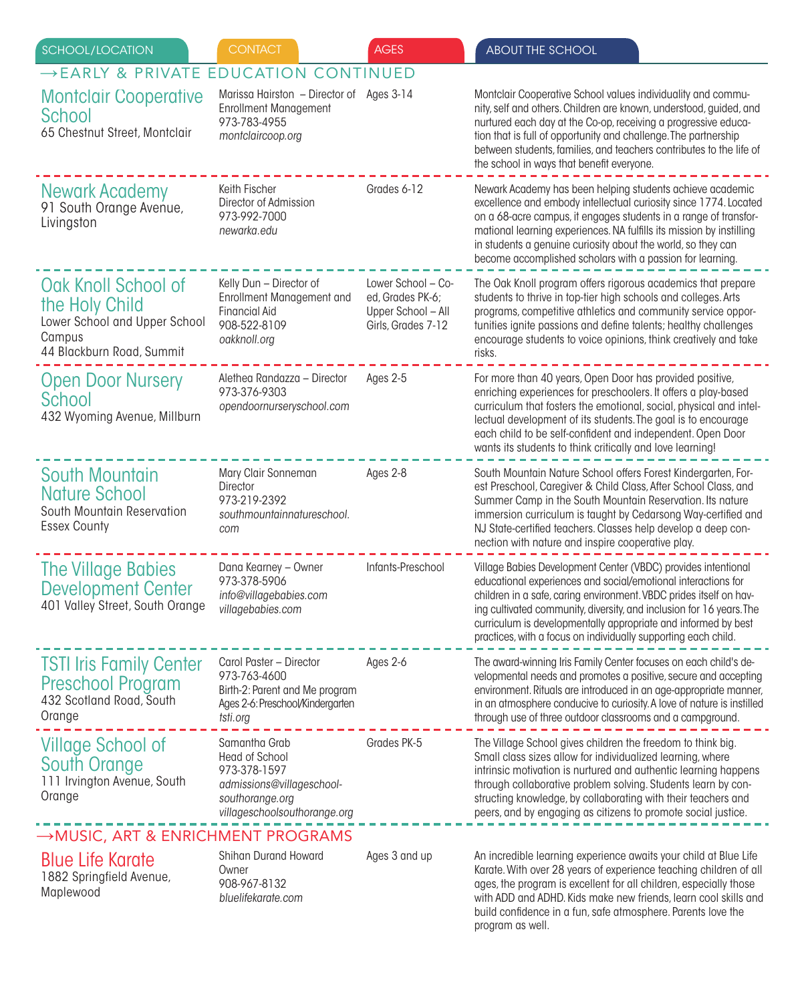| <b>SCHOOL/LOCATION</b>                                                                                        | <b>CONTACT</b>                                                                                                                         | <b>AGES</b>                                                                        | <b>ABOUT THE SCHOOL</b>                                                                                                                                                                                                                                                                                                                                                                                          |  |
|---------------------------------------------------------------------------------------------------------------|----------------------------------------------------------------------------------------------------------------------------------------|------------------------------------------------------------------------------------|------------------------------------------------------------------------------------------------------------------------------------------------------------------------------------------------------------------------------------------------------------------------------------------------------------------------------------------------------------------------------------------------------------------|--|
| $\rightarrow$ EARLY & PRIVATE                                                                                 | <b>EDUCATION CONTINUED</b>                                                                                                             |                                                                                    |                                                                                                                                                                                                                                                                                                                                                                                                                  |  |
| <b>Montclair Cooperative</b><br>School<br>65 Chestnut Street, Montclair                                       | Marissa Hairston - Director of<br><b>Enrollment Management</b><br>973-783-4955<br>montclaircoop.org                                    | Ages 3-14                                                                          | Montclair Cooperative School values individuality and commu-<br>nity, self and others. Children are known, understood, guided, and<br>nurtured each day at the Co-op, receiving a progressive educa-<br>tion that is full of opportunity and challenge. The partnership<br>between students, families, and teachers contributes to the life of<br>the school in ways that benefit everyone.                      |  |
| Newark Academy<br>91 South Orange Avenue,<br>Livingston                                                       | Keith Fischer<br>Director of Admission<br>973-992-7000<br>newarka.edu                                                                  | Grades 6-12                                                                        | Newark Academy has been helping students achieve academic<br>excellence and embody intellectual curiosity since 1774. Located<br>on a 68-acre campus, it engages students in a range of transfor-<br>mational learning experiences. NA fulfills its mission by instilling<br>in students a genuine curiosity about the world, so they can<br>become accomplished scholars with a passion for learning.           |  |
| Oak Knoll School of<br>the Holy Child<br>Lower School and Upper School<br>Campus<br>44 Blackburn Road, Summit | Kelly Dun - Director of<br><b>Enrollment Management and</b><br><b>Financial Aid</b><br>908-522-8109<br>oakknoll.org                    | Lower School - Co-<br>ed, Grades PK-6;<br>Upper School - All<br>Girls, Grades 7-12 | The Oak Knoll program offers rigorous academics that prepare<br>students to thrive in top-tier high schools and colleges. Arts<br>programs, competitive athletics and community service oppor-<br>tunities ignite passions and define talents; healthy challenges<br>encourage students to voice opinions, think creatively and take<br>risks.                                                                   |  |
| <b>Open Door Nursery</b><br>School<br>432 Wyoming Avenue, Millburn                                            | Alethea Randazza - Director<br>973-376-9303<br>opendoornurseryschool.com                                                               | Ages 2-5                                                                           | For more than 40 years, Open Door has provided positive,<br>enriching experiences for preschoolers. It offers a play-based<br>curriculum that fosters the emotional, social, physical and intel-<br>lectual development of its students. The goal is to encourage<br>each child to be self-confident and independent. Open Door<br>wants its students to think critically and love learning!                     |  |
| <b>South Mountain</b><br><b>Nature School</b><br>South Mountain Reservation<br><b>Essex County</b>            | Mary Clair Sonneman<br>Director<br>973-219-2392<br>southmountainnatureschool.<br>com                                                   | Ages 2-8                                                                           | South Mountain Nature School offers Forest Kindergarten, For-<br>est Preschool, Caregiver & Child Class, After School Class, and<br>Summer Camp in the South Mountain Reservation. Its nature<br>immersion curriculum is taught by Cedarsong Way-certified and<br>NJ State-certified teachers. Classes help develop a deep con-<br>nection with nature and inspire cooperative play.                             |  |
| The Village Babies<br><b>Development Center</b><br>401 Valley Street, South Orange                            | Dana Kearney - Owner<br>973-378-5906<br>info@villagebabies.com<br>villagebabies.com                                                    | Infants-Preschool                                                                  | Village Babies Development Center (VBDC) provides intentional<br>educational experiences and social/emotional interactions for<br>children in a safe, caring environment. VBDC prides itself on hav-<br>ing cultivated community, diversity, and inclusion for 16 years. The<br>curriculum is developmentally appropriate and informed by best<br>practices, with a focus on individually supporting each child. |  |
| <b>TSTI Iris Family Center</b><br><b>Preschool Program</b><br>432 Scotland Road, South<br>Orange              | Carol Paster - Director<br>973-763-4600<br>Birth-2: Parent and Me program<br>Ages 2-6: Preschool/Kindergarten<br>tsti.org              | Ages 2-6                                                                           | The award-winning Iris Family Center focuses on each child's de-<br>velopmental needs and promotes a positive, secure and accepting<br>environment. Rituals are introduced in an age-appropriate manner,<br>in an atmosphere conducive to curiosity. A love of nature is instilled<br>through use of three outdoor classrooms and a campground.                                                                  |  |
| Village School of<br>South Orange<br>111 Irvington Avenue, South<br>Orange                                    | Samantha Grab<br><b>Head of School</b><br>973-378-1597<br>admissions@villageschool-<br>southorange.org<br>villageschoolsouthorange.org | Grades PK-5                                                                        | The Village School gives children the freedom to think big.<br>Small class sizes allow for individualized learning, where<br>intrinsic motivation is nurtured and authentic learning happens<br>through collaborative problem solving. Students learn by con-<br>structing knowledge, by collaborating with their teachers and<br>peers, and by engaging as citizens to promote social justice.                  |  |
| →MUSIC, ART & ENRICHMENT PROGRAMS                                                                             |                                                                                                                                        |                                                                                    |                                                                                                                                                                                                                                                                                                                                                                                                                  |  |
| <b>Blue Life Karate</b><br>1882 Springfield Avenue,<br>Maplewood                                              | Shihan Durand Howard<br>Owner<br>908-967-8132<br>bluelifekarate.com                                                                    | Ages 3 and up                                                                      | An incredible learning experience awaits your child at Blue Life<br>Karate. With over 28 years of experience teaching children of all<br>ages, the program is excellent for all children, especially those<br>with ADD and ADHD. Kids make new friends, learn cool skills and<br>build confidence in a fun, safe atmosphere. Parents love the                                                                    |  |

program as well.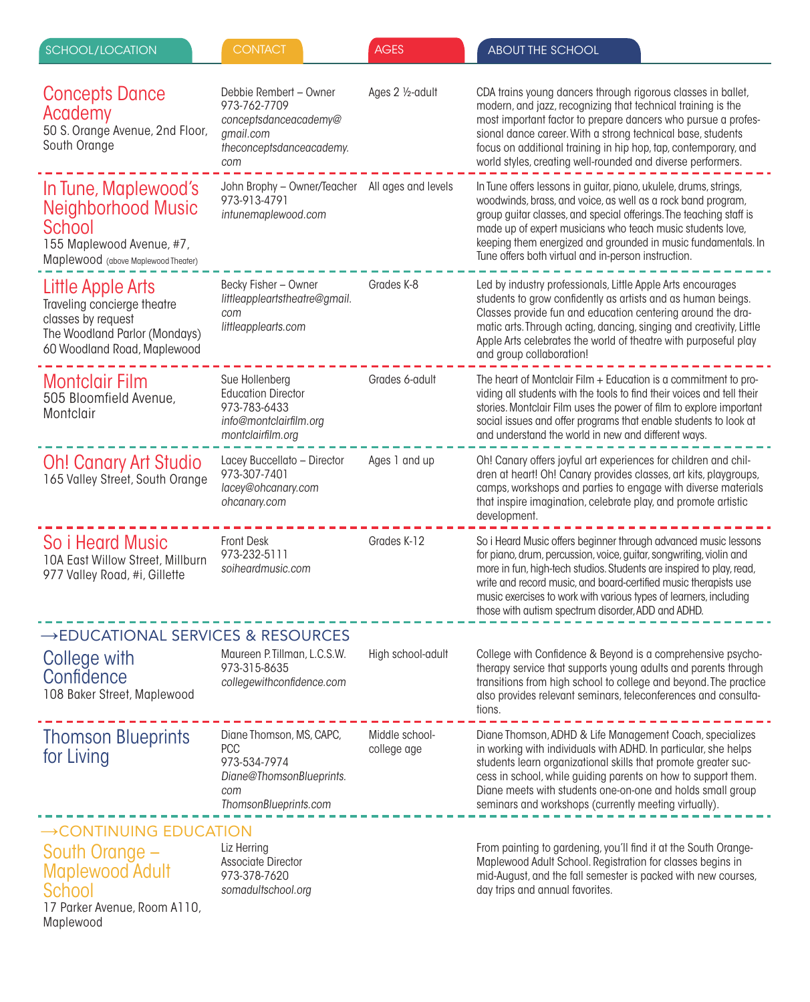| SCHOOL/LOCATION                                                                                                                        | <b>CONTACT</b>                                                                                                     | <b>AGES</b>                   | <b>ABOUT THE SCHOOL</b>                                                                                                                                                                                                                                                                                                                                                                                       |  |
|----------------------------------------------------------------------------------------------------------------------------------------|--------------------------------------------------------------------------------------------------------------------|-------------------------------|---------------------------------------------------------------------------------------------------------------------------------------------------------------------------------------------------------------------------------------------------------------------------------------------------------------------------------------------------------------------------------------------------------------|--|
| <b>Concepts Dance</b><br>Academy<br>50 S. Orange Avenue, 2nd Floor,<br>South Orange                                                    | Debbie Rembert - Owner<br>973-762-7709<br>conceptsdanceacademy@<br>gmail.com<br>theconceptsdanceacademy.<br>com    | Ages 2 1/2-adult              | CDA trains young dancers through rigorous classes in ballet,<br>modern, and jazz, recognizing that technical training is the<br>most important factor to prepare dancers who pursue a profes-<br>sional dance career. With a strong technical base, students<br>focus on additional training in hip hop, tap, contemporary, and<br>world styles, creating well-rounded and diverse performers.                |  |
| In Tune, Maplewood's<br>Neighborhood Music<br>School<br>155 Maplewood Avenue, #7,<br>Maplewood (above Maplewood Theater)               | John Brophy - Owner/Teacher<br>973-913-4791<br>intunemaplewood.com                                                 | All ages and levels           | In Tune offers lessons in guitar, piano, ukulele, drums, strings,<br>woodwinds, brass, and voice, as well as a rock band program,<br>group guitar classes, and special offerings. The teaching staff is<br>made up of expert musicians who teach music students love,<br>keeping them energized and grounded in music fundamentals. In<br>Tune offers both virtual and in-person instruction.                 |  |
| Little Apple Arts<br>Traveling concierge theatre<br>classes by request<br>The Woodland Parlor (Mondays)<br>60 Woodland Road, Maplewood | Becky Fisher - Owner<br>littleappleartstheatre@gmail.<br>com<br>littleapplearts.com                                | Grades K-8                    | Led by industry professionals, Little Apple Arts encourages<br>students to grow confidently as artists and as human beings.<br>Classes provide fun and education centering around the dra-<br>matic arts. Through acting, dancing, singing and creativity, Little<br>Apple Arts celebrates the world of theatre with purposeful play<br>and group collaboration!                                              |  |
| <b>Montclair Film</b><br>505 Bloomfield Avenue,<br>Montclair                                                                           | Sue Hollenberg<br><b>Education Director</b><br>973-783-6433<br>info@montclairfilm.org<br>montclairfilm.org         | Grades 6-adult                | The heart of Montclair Film + Education is a commitment to pro-<br>viding all students with the tools to find their voices and tell their<br>stories. Montclair Film uses the power of film to explore important<br>social issues and offer programs that enable students to look at<br>and understand the world in new and different ways.                                                                   |  |
| <b>Oh! Canary Art Studio</b><br>165 Valley Street, South Orange                                                                        | Lacey Buccellato - Director<br>973-307-7401<br>lacey@ohcanary.com<br>ohcanary.com                                  | Ages 1 and up                 | Oh! Canary offers joyful art experiences for children and chil-<br>dren at heart! Oh! Canary provides classes, art kits, playgroups,<br>camps, workshops and parties to engage with diverse materials<br>that inspire imagination, celebrate play, and promote artistic<br>development.                                                                                                                       |  |
| So i Heard Music<br>10A East Willow Street, Millburn<br>977 Valley Road, #i, Gillette                                                  | <b>Front Desk</b><br>973-232-5111<br>soiheardmusic.com                                                             | Grades K-12                   | So i Heard Music offers beginner through advanced music lessons<br>for piano, drum, percussion, voice, guitar, songwriting, violin and<br>more in fun, high-tech studios. Students are inspired to play, read,<br>write and record music, and board-certified music therapists use<br>music exercises to work with various types of learners, including<br>those with autism spectrum disorder, ADD and ADHD. |  |
| →EDUCATIONAL SERVICES & RESOURCES                                                                                                      |                                                                                                                    |                               |                                                                                                                                                                                                                                                                                                                                                                                                               |  |
| College with<br>Confidence<br>108 Baker Street, Maplewood                                                                              | Maureen P. Tillman, L.C.S.W.<br>973-315-8635<br>collegewithconfidence.com                                          | High school-adult             | College with Confidence & Beyond is a comprehensive psycho-<br>therapy service that supports young adults and parents through<br>transitions from high school to college and beyond. The practice<br>also provides relevant seminars, teleconferences and consulta-<br>tions.                                                                                                                                 |  |
| <b>Thomson Blueprints</b><br>for Living                                                                                                | Diane Thomson, MS, CAPC,<br><b>PCC</b><br>973-534-7974<br>Diane@ThomsonBlueprints.<br>com<br>ThomsonBlueprints.com | Middle school-<br>college age | Diane Thomson, ADHD & Life Management Coach, specializes<br>in working with individuals with ADHD. In particular, she helps<br>students learn organizational skills that promote greater suc-<br>cess in school, while guiding parents on how to support them.<br>Diane meets with students one-on-one and holds small group<br>seminars and workshops (currently meeting virtually).                         |  |
| $\rightarrow$ CONTINUING EDUCATION                                                                                                     |                                                                                                                    |                               |                                                                                                                                                                                                                                                                                                                                                                                                               |  |
| South Orange –<br><b>Maplewood Adult</b><br>School                                                                                     | Liz Herring<br><b>Associate Director</b><br>973-378-7620<br>somadultschool.org                                     |                               | From painting to gardening, you'll find it at the South Orange-<br>Maplewood Adult School. Registration for classes begins in<br>mid-August, and the fall semester is packed with new courses,<br>day trips and annual favorites.                                                                                                                                                                             |  |

17 Parker Avenue, Room A110,

Maplewood